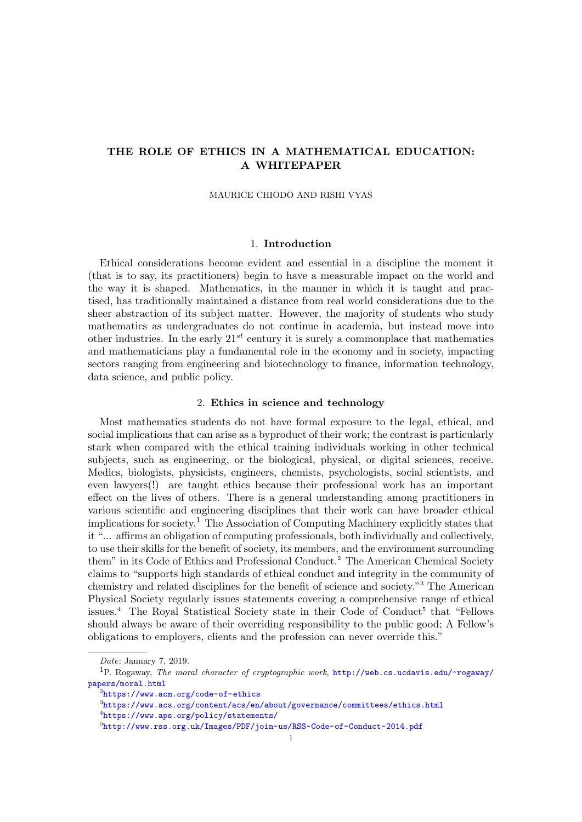# THE ROLE OF ETHICS IN A MATHEMATICAL EDUCATION: A WHITEPAPER

## MAURICE CHIODO AND RISHI VYAS

## 1. Introduction

Ethical considerations become evident and essential in a discipline the moment it (that is to say, its practitioners) begin to have a measurable impact on the world and the way it is shaped. Mathematics, in the manner in which it is taught and practised, has traditionally maintained a distance from real world considerations due to the sheer abstraction of its subject matter. However, the majority of students who study mathematics as undergraduates do not continue in academia, but instead move into other industries. In the early  $21^{st}$  century it is surely a commonplace that mathematics and mathematicians play a fundamental role in the economy and in society, impacting sectors ranging from engineering and biotechnology to finance, information technology, data science, and public policy.

## 2. Ethics in science and technology

Most mathematics students do not have formal exposure to the legal, ethical, and social implications that can arise as a byproduct of their work; the contrast is particularly stark when compared with the ethical training individuals working in other technical subjects, such as engineering, or the biological, physical, or digital sciences, receive. Medics, biologists, physicists, engineers, chemists, psychologists, social scientists, and even lawyers(!) are taught ethics because their professional work has an important effect on the lives of others. There is a general understanding among practitioners in various scientific and engineering disciplines that their work can have broader ethical implications for society.[1](#page-0-0) The Association of Computing Machinery explicitly states that it "... affirms an obligation of computing professionals, both individually and collectively, to use their skills for the benefit of society, its members, and the environment surrounding them" in its Code of Ethics and Professional Conduct.[2](#page-0-1) The American Chemical Society claims to "supports high standards of ethical conduct and integrity in the community of chemistry and related disciplines for the benefit of science and society."[3](#page-0-2) The American Physical Society regularly issues statements covering a comprehensive range of ethical issues.<sup>[4](#page-0-3)</sup> The Royal Statistical Society state in their Code of Conduct<sup>[5](#page-0-4)</sup> that "Fellows should always be aware of their overriding responsibility to the public good; A Fellow's obligations to employers, clients and the profession can never override this."

<span id="page-0-0"></span>Date: January 7, 2019.

<sup>1</sup>P. Rogaway, The moral character of cryptographic work, [http://web.cs.ucdavis.edu/~rogaway/](http://web.cs.ucdavis.edu/~rogaway/papers/moral.html) [papers/moral.html](http://web.cs.ucdavis.edu/~rogaway/papers/moral.html)

<span id="page-0-1"></span><sup>2</sup><https://www.acm.org/code-of-ethics>

<span id="page-0-2"></span><sup>3</sup><https://www.acs.org/content/acs/en/about/governance/committees/ethics.html>

<span id="page-0-3"></span><sup>4</sup><https://www.aps.org/policy/statements/>

<span id="page-0-4"></span><sup>5</sup><http://www.rss.org.uk/Images/PDF/join-us/RSS-Code-of-Conduct-2014.pdf>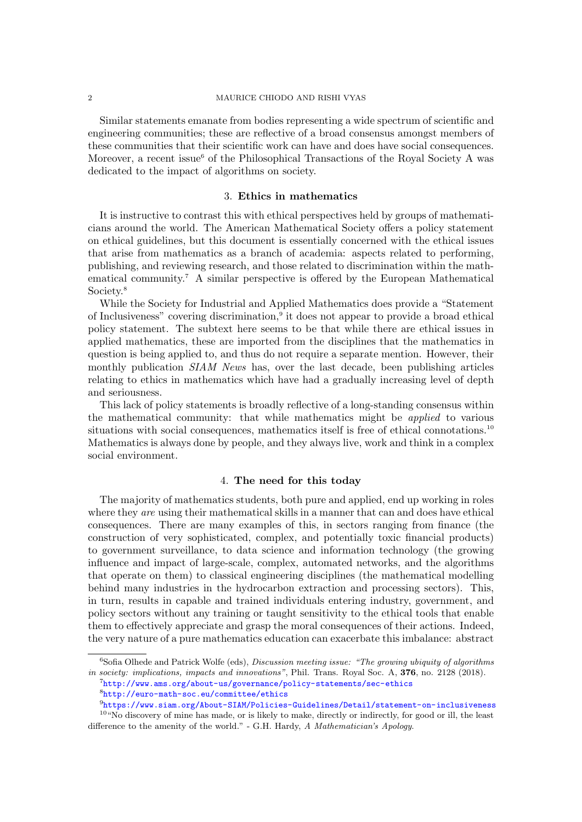Similar statements emanate from bodies representing a wide spectrum of scientific and engineering communities; these are reflective of a broad consensus amongst members of these communities that their scientific work can have and does have social consequences. Moreover, a recent issue<sup>[6](#page-1-0)</sup> of the Philosophical Transactions of the Royal Society A was dedicated to the impact of algorithms on society.

## 3. Ethics in mathematics

It is instructive to contrast this with ethical perspectives held by groups of mathematicians around the world. The American Mathematical Society offers a policy statement on ethical guidelines, but this document is essentially concerned with the ethical issues that arise from mathematics as a branch of academia: aspects related to performing, publishing, and reviewing research, and those related to discrimination within the mathematical community.[7](#page-1-1) A similar perspective is offered by the European Mathematical Society.[8](#page-1-2)

While the Society for Industrial and Applied Mathematics does provide a "Statement of Inclusiveness" covering discrimination,<sup>[9](#page-1-3)</sup> it does not appear to provide a broad ethical policy statement. The subtext here seems to be that while there are ethical issues in applied mathematics, these are imported from the disciplines that the mathematics in question is being applied to, and thus do not require a separate mention. However, their monthly publication *SIAM News* has, over the last decade, been publishing articles relating to ethics in mathematics which have had a gradually increasing level of depth and seriousness.

This lack of policy statements is broadly reflective of a long-standing consensus within the mathematical community: that while mathematics might be applied to various situations with social consequences, mathematics itself is free of ethical connotations.<sup>[10](#page-1-4)</sup> Mathematics is always done by people, and they always live, work and think in a complex social environment.

# 4. The need for this today

The majority of mathematics students, both pure and applied, end up working in roles where they are using their mathematical skills in a manner that can and does have ethical consequences. There are many examples of this, in sectors ranging from finance (the construction of very sophisticated, complex, and potentially toxic financial products) to government surveillance, to data science and information technology (the growing influence and impact of large-scale, complex, automated networks, and the algorithms that operate on them) to classical engineering disciplines (the mathematical modelling behind many industries in the hydrocarbon extraction and processing sectors). This, in turn, results in capable and trained individuals entering industry, government, and policy sectors without any training or taught sensitivity to the ethical tools that enable them to effectively appreciate and grasp the moral consequences of their actions. Indeed, the very nature of a pure mathematics education can exacerbate this imbalance: abstract

<span id="page-1-0"></span> $6S$ ofia Olhede and Patrick Wolfe (eds), Discussion meeting issue: "The growing ubiquity of algorithms in society: implications, impacts and innovations", Phil. Trans. Royal Soc. A, 376, no. 2128 (2018).

<span id="page-1-1"></span><sup>7</sup><http://www.ams.org/about-us/governance/policy-statements/sec-ethics>

<span id="page-1-4"></span><span id="page-1-3"></span><span id="page-1-2"></span><sup>8</sup><http://euro-math-soc.eu/committee/ethics>

<sup>9</sup><https://www.siam.org/About-SIAM/Policies-Guidelines/Detail/statement-on-inclusiveness> <sup>10</sup>"No discovery of mine has made, or is likely to make, directly or indirectly, for good or ill, the least difference to the amenity of the world." - G.H. Hardy, A Mathematician's Apology.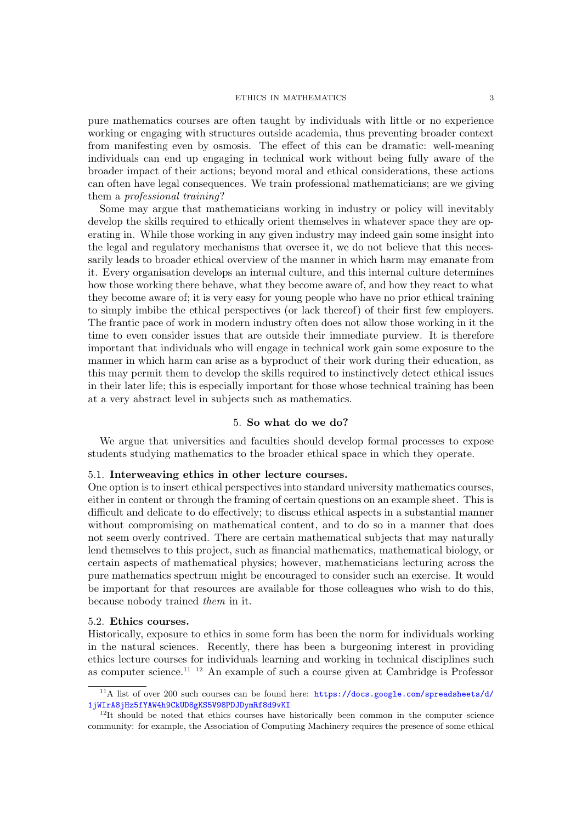### ETHICS IN MATHEMATICS 3

pure mathematics courses are often taught by individuals with little or no experience working or engaging with structures outside academia, thus preventing broader context from manifesting even by osmosis. The effect of this can be dramatic: well-meaning individuals can end up engaging in technical work without being fully aware of the broader impact of their actions; beyond moral and ethical considerations, these actions can often have legal consequences. We train professional mathematicians; are we giving them a professional training?

Some may argue that mathematicians working in industry or policy will inevitably develop the skills required to ethically orient themselves in whatever space they are operating in. While those working in any given industry may indeed gain some insight into the legal and regulatory mechanisms that oversee it, we do not believe that this necessarily leads to broader ethical overview of the manner in which harm may emanate from it. Every organisation develops an internal culture, and this internal culture determines how those working there behave, what they become aware of, and how they react to what they become aware of; it is very easy for young people who have no prior ethical training to simply imbibe the ethical perspectives (or lack thereof) of their first few employers. The frantic pace of work in modern industry often does not allow those working in it the time to even consider issues that are outside their immediate purview. It is therefore important that individuals who will engage in technical work gain some exposure to the manner in which harm can arise as a byproduct of their work during their education, as this may permit them to develop the skills required to instinctively detect ethical issues in their later life; this is especially important for those whose technical training has been at a very abstract level in subjects such as mathematics.

# 5. So what do we do?

We argue that universities and faculties should develop formal processes to expose students studying mathematics to the broader ethical space in which they operate.

## 5.1. Interweaving ethics in other lecture courses.

One option is to insert ethical perspectives into standard university mathematics courses, either in content or through the framing of certain questions on an example sheet. This is difficult and delicate to do effectively; to discuss ethical aspects in a substantial manner without compromising on mathematical content, and to do so in a manner that does not seem overly contrived. There are certain mathematical subjects that may naturally lend themselves to this project, such as financial mathematics, mathematical biology, or certain aspects of mathematical physics; however, mathematicians lecturing across the pure mathematics spectrum might be encouraged to consider such an exercise. It would be important for that resources are available for those colleagues who wish to do this, because nobody trained them in it.

### 5.2. Ethics courses.

Historically, exposure to ethics in some form has been the norm for individuals working in the natural sciences. Recently, there has been a burgeoning interest in providing ethics lecture courses for individuals learning and working in technical disciplines such as computer science.[11](#page-2-0) [12](#page-2-1) An example of such a course given at Cambridge is Professor

<span id="page-2-0"></span><sup>&</sup>lt;sup>11</sup>A list of over 200 such courses can be found here: [https://docs.google.com/spreadsheets/d/](https://docs.google.com/spreadsheets/d/1jWIrA8jHz5fYAW4h9CkUD8gKS5V98PDJDymRf8d9vKI) [1jWIrA8jHz5fYAW4h9CkUD8gKS5V98PDJDymRf8d9vKI](https://docs.google.com/spreadsheets/d/1jWIrA8jHz5fYAW4h9CkUD8gKS5V98PDJDymRf8d9vKI)

<span id="page-2-1"></span> $12$ It should be noted that ethics courses have historically been common in the computer science community: for example, the Association of Computing Machinery requires the presence of some ethical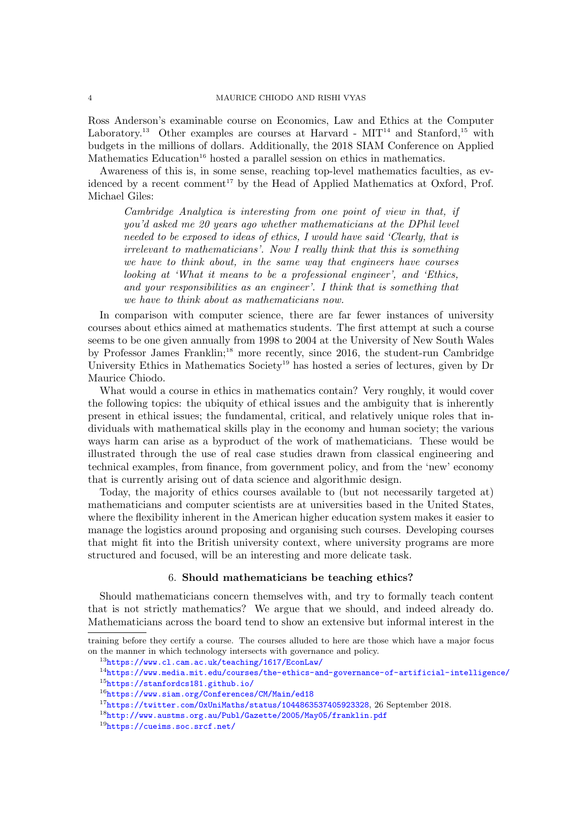#### 4 MAURICE CHIODO AND RISHI VYAS

Ross Anderson's examinable course on Economics, Law and Ethics at the Computer Laboratory.<sup>[13](#page-3-0)</sup> Other examples are courses at Harvard -  $MIT<sup>14</sup>$  $MIT<sup>14</sup>$  $MIT<sup>14</sup>$  and Stanford,<sup>[15](#page-3-2)</sup> with budgets in the millions of dollars. Additionally, the 2018 SIAM Conference on Applied Mathematics Education<sup>[16](#page-3-3)</sup> hosted a parallel session on ethics in mathematics.

Awareness of this is, in some sense, reaching top-level mathematics faculties, as ev-idenced by a recent comment<sup>[17](#page-3-4)</sup> by the Head of Applied Mathematics at Oxford, Prof. Michael Giles:

Cambridge Analytica is interesting from one point of view in that, if you'd asked me 20 years ago whether mathematicians at the DPhil level needed to be exposed to ideas of ethics, I would have said 'Clearly, that is irrelevant to mathematicians'. Now I really think that this is something we have to think about, in the same way that engineers have courses looking at 'What it means to be a professional engineer', and 'Ethics, and your responsibilities as an engineer'. I think that is something that we have to think about as mathematicians now.

In comparison with computer science, there are far fewer instances of university courses about ethics aimed at mathematics students. The first attempt at such a course seems to be one given annually from 1998 to 2004 at the University of New South Wales by Professor James Franklin;<sup>[18](#page-3-5)</sup> more recently, since 2016, the student-run Cambridge University Ethics in Mathematics Society<sup>[19](#page-3-6)</sup> has hosted a series of lectures, given by Dr Maurice Chiodo.

What would a course in ethics in mathematics contain? Very roughly, it would cover the following topics: the ubiquity of ethical issues and the ambiguity that is inherently present in ethical issues; the fundamental, critical, and relatively unique roles that individuals with mathematical skills play in the economy and human society; the various ways harm can arise as a byproduct of the work of mathematicians. These would be illustrated through the use of real case studies drawn from classical engineering and technical examples, from finance, from government policy, and from the 'new' economy that is currently arising out of data science and algorithmic design.

Today, the majority of ethics courses available to (but not necessarily targeted at) mathematicians and computer scientists are at universities based in the United States, where the flexibility inherent in the American higher education system makes it easier to manage the logistics around proposing and organising such courses. Developing courses that might fit into the British university context, where university programs are more structured and focused, will be an interesting and more delicate task.

## 6. Should mathematicians be teaching ethics?

Should mathematicians concern themselves with, and try to formally teach content that is not strictly mathematics? We argue that we should, and indeed already do. Mathematicians across the board tend to show an extensive but informal interest in the

training before they certify a course. The courses alluded to here are those which have a major focus on the manner in which technology intersects with governance and policy.

<span id="page-3-0"></span><sup>13</sup><https://www.cl.cam.ac.uk/teaching/1617/EconLaw/>

<span id="page-3-2"></span><span id="page-3-1"></span><sup>14</sup><https://www.media.mit.edu/courses/the-ethics-and-governance-of-artificial-intelligence/> <sup>15</sup><https://stanfordcs181.github.io/>

<span id="page-3-3"></span><sup>16</sup><https://www.siam.org/Conferences/CM/Main/ed18>

<span id="page-3-4"></span> $17$ https://twitter.com/0xUniMaths/status/1044863537405923328, 26 September 2018.

<span id="page-3-5"></span><sup>18</sup><http://www.austms.org.au/Publ/Gazette/2005/May05/franklin.pdf>

<span id="page-3-6"></span><sup>19</sup><https://cueims.soc.srcf.net/>